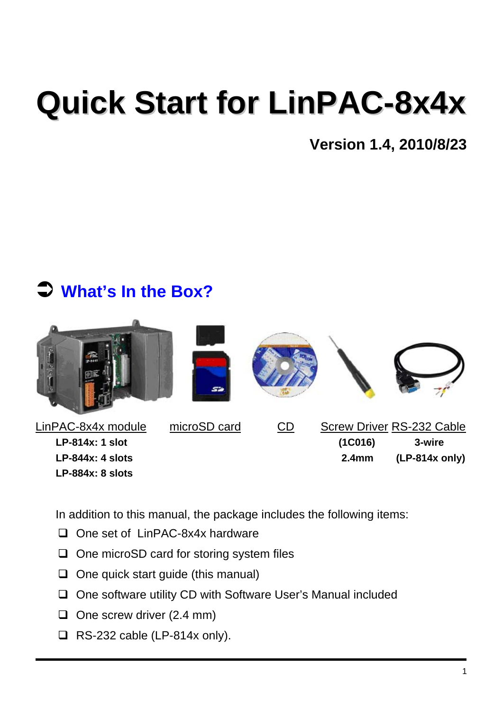# **Quick Start for LinPAC-8x4x**

**Version 1.4, 2010/8/23**

#### Â **What's In the Box?**



In addition to this manual, the package includes the following items:

- □ One set of LinPAC-8x4x hardware
- $\Box$  One microSD card for storing system files
- $\Box$  One quick start guide (this manual)
- $\Box$  One software utility CD with Software User's Manual included
- $\Box$  One screw driver (2.4 mm)
- $\Box$  RS-232 cable (LP-814x only).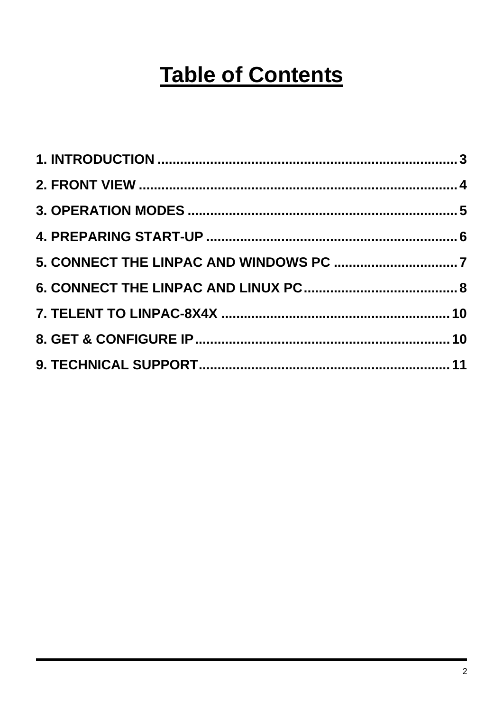### **Table of Contents**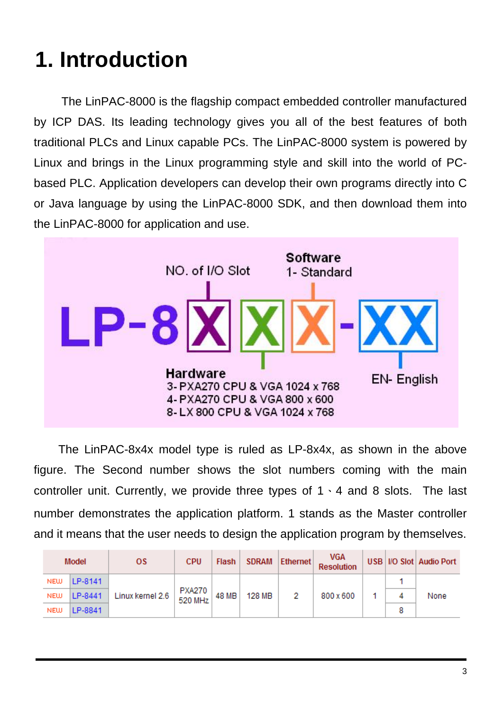# **1. Introduction**

The LinPAC-8000 is the flagship compact embedded controller manufactured by ICP DAS. Its leading technology gives you all of the best features of both traditional PLCs and Linux capable PCs. The LinPAC-8000 system is powered by Linux and brings in the Linux programming style and skill into the world of PCbased PLC. Application developers can develop their own programs directly into C or Java language by using the LinPAC-8000 SDK, and then download them into the LinPAC-8000 for application and use.



The LinPAC-8x4x model type is ruled as LP-8x4x, as shown in the above figure. The Second number shows the slot numbers coming with the main controller unit. Currently, we provide three types of  $1 \cdot 4$  and 8 slots. The last number demonstrates the application platform. 1 stands as the Master controller and it means that the user needs to design the application program by themselves.

|            | Model   | 0S.                                                                                           | <b>CPU</b> | <b>Flash</b> | SDRAM  | <b>Ethernet</b> | VGA<br><b>Resolution</b> |  |   | USB   I/O Slot   Audio Port |
|------------|---------|-----------------------------------------------------------------------------------------------|------------|--------------|--------|-----------------|--------------------------|--|---|-----------------------------|
| <b>NEW</b> | LP-8141 | Linux kernel 2.6 $\begin{array}{ c c c }\n\hline\n\text{PXAZ70} & 48 \text{ MB}\n\end{array}$ |            |              | 128 MB |                 | 800 x 600                |  |   | None                        |
| <b>NEW</b> | LP-8441 |                                                                                               |            |              |        |                 |                          |  |   |                             |
| <b>NEW</b> | LP-8841 |                                                                                               |            |              |        |                 |                          |  | 8 |                             |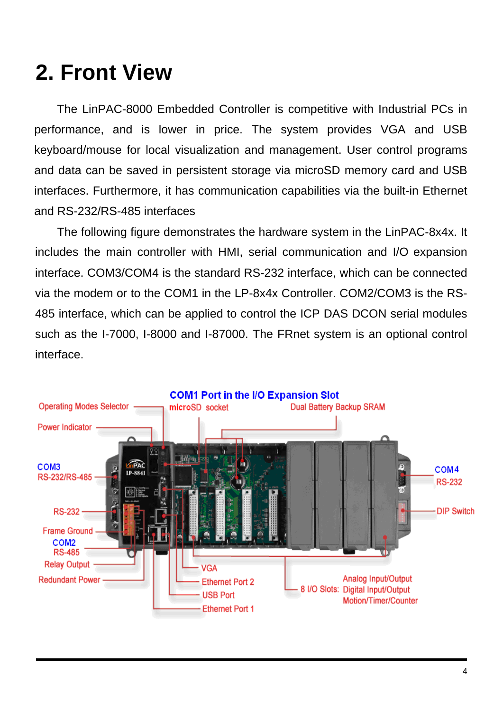#### **2. Front View**

The LinPAC-8000 Embedded Controller is competitive with Industrial PCs in performance, and is lower in price. The system provides VGA and USB keyboard/mouse for local visualization and management. User control programs and data can be saved in persistent storage via microSD memory card and USB interfaces. Furthermore, it has communication capabilities via the built-in Ethernet and RS-232/RS-485 interfaces

The following figure demonstrates the hardware system in the LinPAC-8x4x. It includes the main controller with HMI, serial communication and I/O expansion interface. COM3/COM4 is the standard RS-232 interface, which can be connected via the modem or to the COM1 in the LP-8x4x Controller. COM2/COM3 is the RS-485 interface, which can be applied to control the ICP DAS DCON serial modules such as the I-7000, I-8000 and I-87000. The FRnet system is an optional control interface.

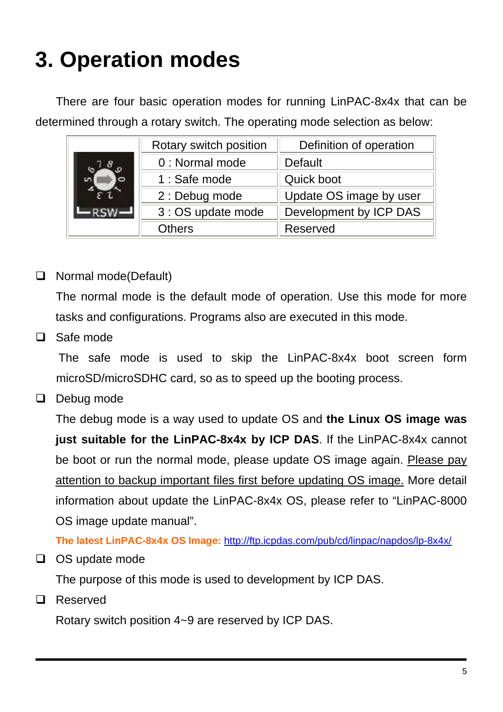# **3. Operation modes**

There are four basic operation modes for running LinPAC-8x4x that can be determined through a rotary switch. The operating mode selection as below:

|  | Rotary switch position | Definition of operation |  |  |
|--|------------------------|-------------------------|--|--|
|  | 0 : Normal mode        | Default                 |  |  |
|  | 1 : Safe mode          | Quick boot              |  |  |
|  | 2 : Debug mode         | Update OS image by user |  |  |
|  | 3 : OS update mode     | Development by ICP DAS  |  |  |
|  | <b>Others</b>          | Reserved                |  |  |

#### □ Normal mode(Default)

 The normal mode is the default mode of operation. Use this mode for more tasks and configurations. Programs also are executed in this mode.

 $\Box$  Safe mode

 The safe mode is used to skip the LinPAC-8x4x boot screen form microSD/microSDHC card, so as to speed up the booting process.

 $\Box$  Debug mode

The debug mode is a way used to update OS and **the Linux OS image was just suitable for the LinPAC-8x4x by ICP DAS**. If the LinPAC-8x4x cannot be boot or run the normal mode, please update OS image again. Please pay attention to backup important files first before updating OS image. More detail information about update the LinPAC-8x4x OS, please refer to "LinPAC-8000 OS image update manual".

**The latest LinPAC-8x4x OS Image:** http://ftp.icpdas.com/pub/cd/linpac/napdos/lp-8x4x/

 $\Box$  OS update mode

The purpose of this mode is used to development by ICP DAS.

□ Reserved

Rotary switch position 4~9 are reserved by ICP DAS.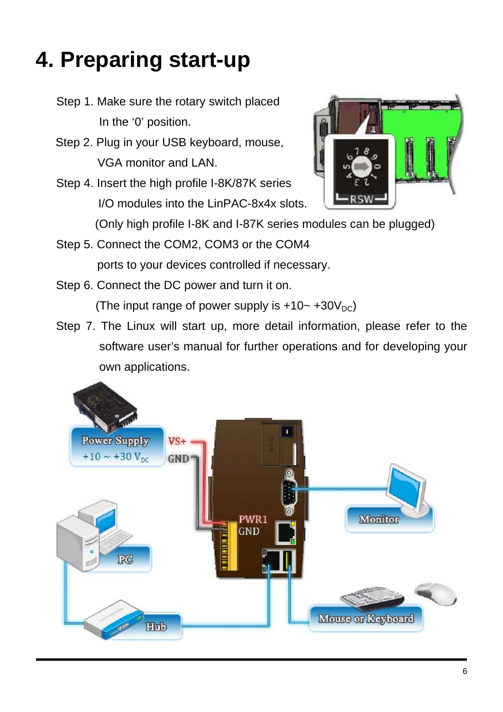## **4. Preparing start-up**

- Step 1. Make sure the rotary switch placed In the '0' position.
- Step 2. Plug in your USB keyboard, mouse, VGA monitor and LAN.
- Step 4. Insert the high profile I-8K/87K series I/O modules into the LinPAC-8x4x slots.



(Only high profile I-8K and I-87K series modules can be plugged)

- Step 5. Connect the COM2, COM3 or the COM4 ports to your devices controlled if necessary.
- Step 6. Connect the DC power and turn it on. (The input range of power supply is  $+10-+30V_{DC}$ )
- Step 7. The Linux will start up, more detail information, please refer to the software user's manual for further operations and for developing your own applications.

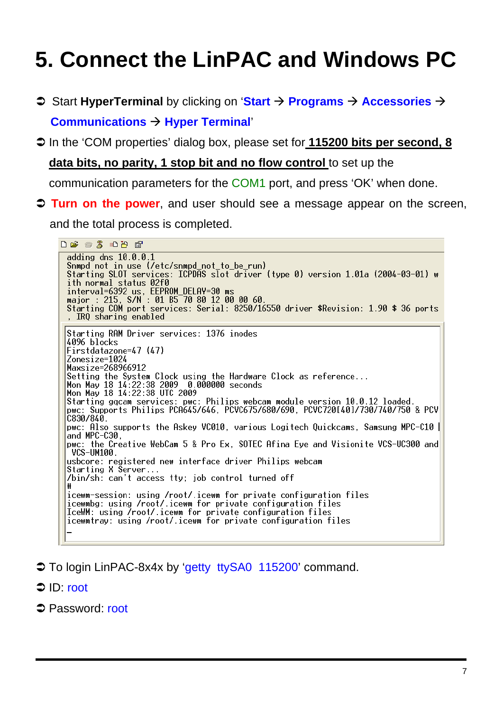## **5. Connect the LinPAC and Windows PC**

- **◯ Start HyperTerminal** by clicking on 'Start  $\rightarrow$  Programs  $\rightarrow$  Accessories  $\rightarrow$ **Communications → Hyper Terminal'**
- Â In the 'COM properties' dialog box, please set for **115200 bits per second, 8**

#### **data bits, no parity, 1 stop bit and no flow control** to set up the

communication parameters for the COM1 port, and press 'OK' when done.

Â **Turn on the power**, and user should see a message appear on the screen,

and the total process is completed.

**DE 23 DB &** adding dns 10.0.0.1<br>Snmpd not in use (/etc/snmpd\_not\_to\_be\_run) Starting SLOT services: ICPDAS slot driver (type 0) version 1.01a (2004-03-01) w ith normal status 02f0 Tin normal status 0210<br>interval=6392 us, EEPROM\_DELAY=30 ms<br>major : 215, S/N : 01 B5 70 80 12 00 00 60.<br>Starting COM port services: Serial: 8250/16550 driver \$Revision: 1.90 \$ 36 ports . IRO sharing enabled Starting RAM Driver services: 1376 inodes 4096 blocks  $First data zone=47 (47)$ Zonesize=1024 Maxsize=268966912 Maxsize-200500312<br>Setting the System Clock using the Hardware Clock as reference...<br>Mon May 18 14:22:38 2009 0.000000 seconds<br>Mon May 18 14:22:38 UTC 2009 Starting gacam services: pwc: Philips webcam module version 10.0.12 loaded.<br>pwc: Supports Philips PCA645/646, PCVC675/680/690, PCVC720[40]/730/740/750 & PCV C830/840. pwc: Also supports the Askey VC010, various Logitech Quickcams, Samsung MPC-C10 | and MPC-C30, pwc: the Creative WebCam 5 & Pro Ex, SOTEC Afina Eye and Visionite VCS-UC300 and VCS-UM100. usbcore: registered new interface driver Philips webcam<br>Starting X Server... /bin/sh: can't access tty; job control turned off icewm-session: using /root/.icewm for private configuration files<br>icewmbg: using /root/.icewm for private configuration files IceWM: using /root/.icewm for private configuration files icewmtray: using /root/.icewm for private configuration files

- **To login LinPAC-8x4x by 'getty ttySA0 115200' command.**
- **⇒** ID: root
- **Password: root**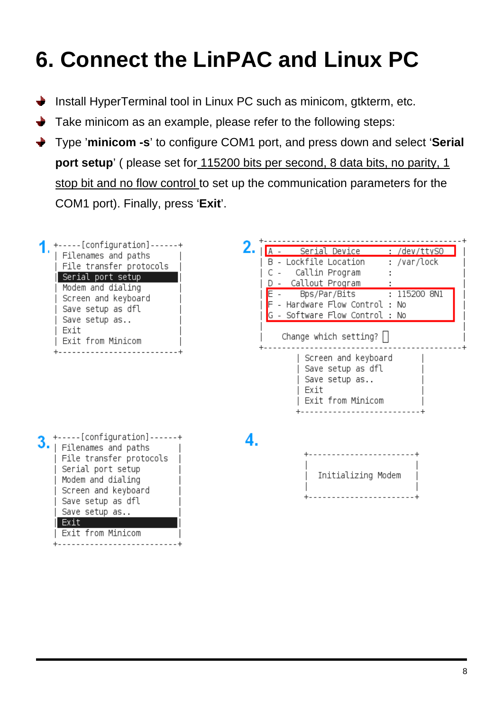## **6. Connect the LinPAC and Linux PC**

- Install HyperTerminal tool in Linux PC such as minicom, gtkterm, etc.
- Take minicom as an example, please refer to the following steps:
- Type '**minicom -s**' to configure COM1 port, and press down and select '**Serial port setup**' ( please set for 115200 bits per second, 8 data bits, no parity, 1 stop bit and no flow control to set up the communication parameters for the COM1 port). Finally, press '**Exit**'.

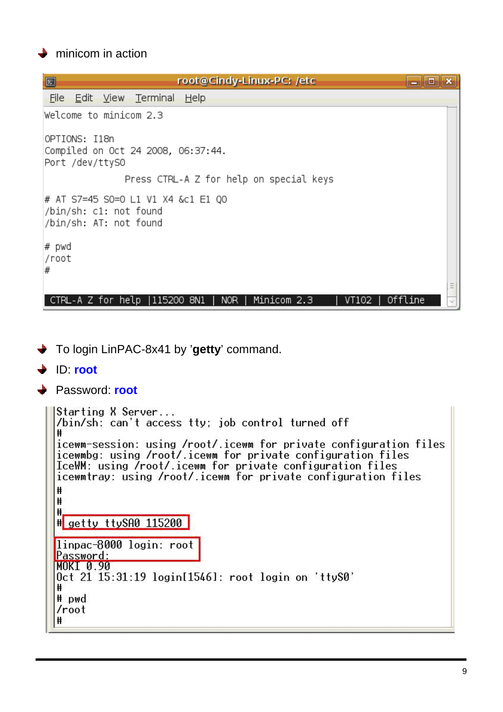#### $\rightarrow$  minicom in action

| $\Box$<br>root@Cindy-Linux-PC: /etc<br>c                                               |  |
|----------------------------------------------------------------------------------------|--|
| Edit View Terminal Help<br><u>File</u>                                                 |  |
| Welcome to minicom 2.3                                                                 |  |
| OPTIONS: I18n<br>Compiled on Oct 24 2008, 06:37:44.<br>Port /dev/ttyS0                 |  |
| Press CTRL-A Z for help on special keys                                                |  |
| # AT S7=45 S0=0 L1 V1 X4 &c1 E1 Q0<br>/bin/sh: c1: not found<br>/bin/sh: AT: not found |  |
| # pwd<br>/root<br>#                                                                    |  |
| Minicom 2.3<br>Offline<br>NOR<br>VT102<br>CTRL-A Z for help  115200 8N1                |  |

- To login LinPAC-8x41 by '**getty**' command.
- ID: **root**

```
→ Password: root
```

```
Starting X Server...
/bin/sh: can't access tty; job control turned off
₩
icewm-session: using /root/.icewm for private configuration files
icewmbg: using /root/.icewm for private configuration files
IceWM: using /root/.icewm for private configuration files
icewmtray: using /root/.icewm for private configuration files
₩
₩
Ħ.
# getty ttySA0 115200
linpac-8000 login: root<br>Password:
MOKI 0.90
Oct 21 15:31:19 login[1546]: root login on 'ttyS0'
## pwd
/root₩
```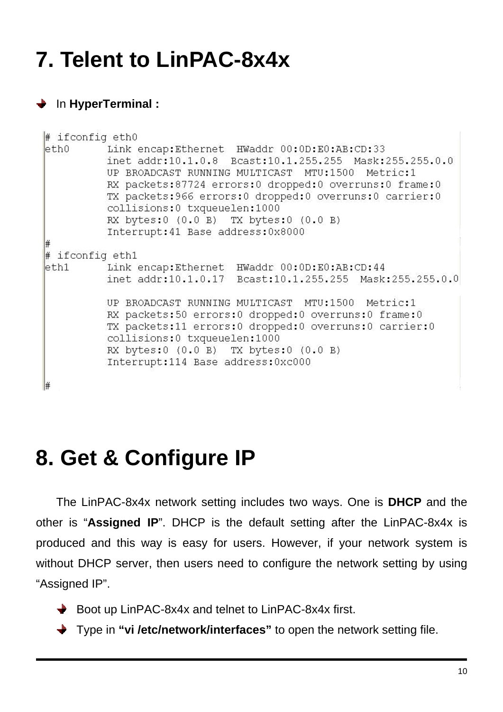### **7. Telent to LinPAC-8x4x**

#### In **HyperTerminal :**

| # ifconfig eth0 |                                                                                                                                                                                                                                                                                                                                                                                                                |
|-----------------|----------------------------------------------------------------------------------------------------------------------------------------------------------------------------------------------------------------------------------------------------------------------------------------------------------------------------------------------------------------------------------------------------------------|
|                 | eth0 Link encap:Ethernet HWaddr 00:0D:E0:AB:CD:33<br>inet addr:10.1.0.8 Bcast:10.1.255.255 Mask:255.255.0.0<br>UP BROADCAST RUNNING MULTICAST MTU:1500 Metric:1<br>RX packets: 87724 errors: 0 dropped: 0 overruns: 0 frame: 0<br>TX packets: 966 errors: 0 dropped: 0 overruns: 0 carrier: 0<br>collisions: 0 txqueuelen: 1000<br>RX bytes:0 (0.0 B) TX bytes:0 (0.0 B)<br>Interrupt: 41 Base address: 0x8000 |
| #               |                                                                                                                                                                                                                                                                                                                                                                                                                |
| # ifconfig ethl |                                                                                                                                                                                                                                                                                                                                                                                                                |
|                 | eth1 Link encap:Ethernet HWaddr 00:0D:E0:AB:CD:44<br>inet addr:10.1.0.17 Bcast:10.1.255.255 Mask:255.255.0.0                                                                                                                                                                                                                                                                                                   |
|                 | UP BROADCAST RUNNING MULTICAST MTU:1500 Metric:1<br>RX packets:50 errors:0 dropped:0 overruns:0 frame:0<br>TX packets: 11 errors: 0 dropped: 0 overruns: 0 carrier: 0<br>collisions: 0 txqueuelen: 1000<br>RX bytes:0 (0.0 B) TX bytes:0 (0.0 B)<br>Interrupt:114 Base address:0xc000                                                                                                                          |
| #               |                                                                                                                                                                                                                                                                                                                                                                                                                |

#### **8. Get & Configure IP**

The LinPAC-8x4x network setting includes two ways. One is **DHCP** and the other is "**Assigned IP**". DHCP is the default setting after the LinPAC-8x4x is produced and this way is easy for users. However, if your network system is without DHCP server, then users need to configure the network setting by using "Assigned IP".

- ◆ Boot up LinPAC-8x4x and telnet to LinPAC-8x4x first.
- Type in **"vi /etc/network/interfaces"** to open the network setting file.